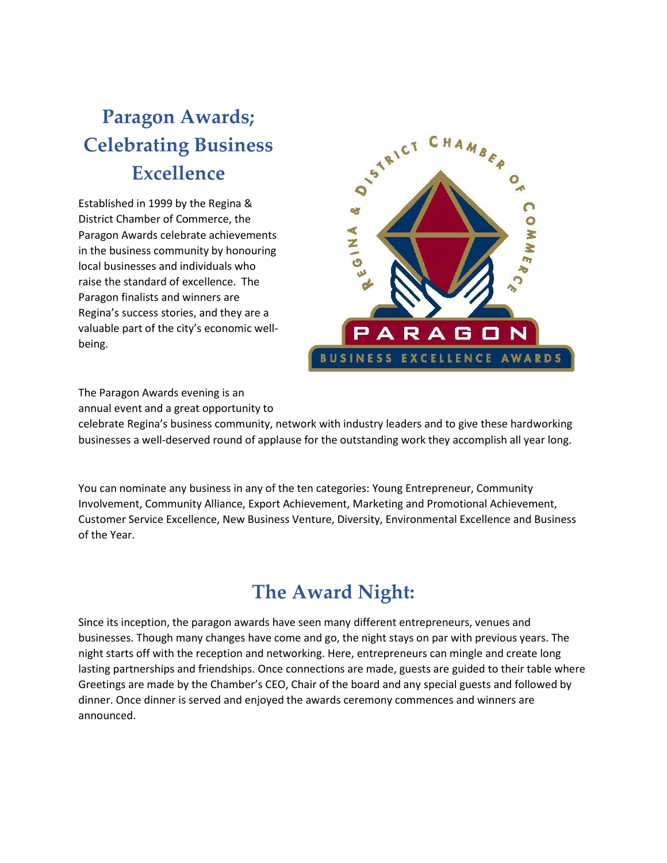# **Paragon Awards; Celebrating Business Excellence**

Established in 1999 by the Regina & District Chamber of Commerce, the Paragon Awards celebrate achievements in the business community by honouring local businesses and individuals who raise the standard of excellence. The Paragon finalists and winners are Regina's success stories, and they are a valuable part of the city's economic wellbeing.



The Paragon Awards evening is an

annual event and a great opportunity to

celebrate Regina's business community, network with industry leaders and to give these hardworking businesses a well-deserved round of applause for the outstanding work they accomplish all year long.

You can nominate any business in any of the ten categories: Young Entrepreneur, Community Involvement, Community Alliance, Export Achievement, Marketing and Promotional Achievement, Customer Service Excellence, New Business Venture, Diversity, Environmental Excellence and Business of the Year.

## **The Award Night:**

Since its inception, the paragon awards have seen many different entrepreneurs, venues and businesses. Though many changes have come and go, the night stays on par with previous years. The night starts off with the reception and networking. Here, entrepreneurs can mingle and create long lasting partnerships and friendships. Once connections are made, guests are guided to their table where Greetings are made by the Chamber's CEO, Chair of the board and any special guests and followed by dinner. Once dinner is served and enjoyed the awards ceremony commences and winners are announced.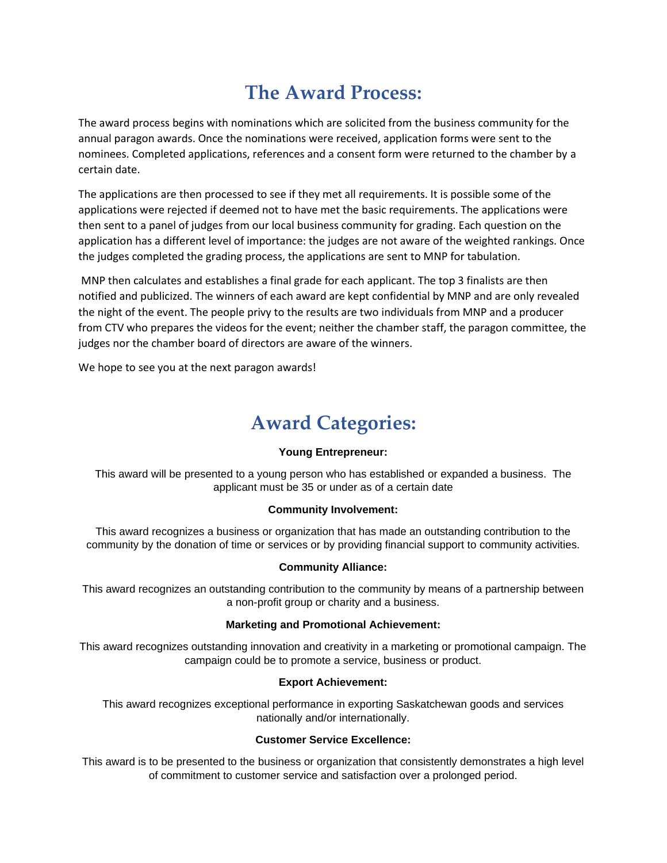## **The Award Process:**

The award process begins with nominations which are solicited from the business community for the annual paragon awards. Once the nominations were received, application forms were sent to the nominees. Completed applications, references and a consent form were returned to the chamber by a certain date.

The applications are then processed to see if they met all requirements. It is possible some of the applications were rejected if deemed not to have met the basic requirements. The applications were then sent to a panel of judges from our local business community for grading. Each question on the application has a different level of importance: the judges are not aware of the weighted rankings. Once the judges completed the grading process, the applications are sent to MNP for tabulation.

MNP then calculates and establishes a final grade for each applicant. The top 3 finalists are then notified and publicized. The winners of each award are kept confidential by MNP and are only revealed the night of the event. The people privy to the results are two individuals from MNP and a producer from CTV who prepares the videos for the event; neither the chamber staff, the paragon committee, the judges nor the chamber board of directors are aware of the winners.

We hope to see you at the next paragon awards!

## **Award Categories:**

## **Young Entrepreneur:**

This award will be presented to a young person who has established or expanded a business. The applicant must be 35 or under as of a certain date

## **Community Involvement:**

This award recognizes a business or organization that has made an outstanding contribution to the community by the donation of time or services or by providing financial support to community activities.

## **Community Alliance:**

This award recognizes an outstanding contribution to the community by means of a partnership between a non-profit group or charity and a business.

## **Marketing and Promotional Achievement:**

This award recognizes outstanding innovation and creativity in a marketing or promotional campaign. The campaign could be to promote a service, business or product.

#### **Export Achievement:**

This award recognizes exceptional performance in exporting Saskatchewan goods and services nationally and/or internationally.

## **Customer Service Excellence:**

This award is to be presented to the business or organization that consistently demonstrates a high level of commitment to customer service and satisfaction over a prolonged period.